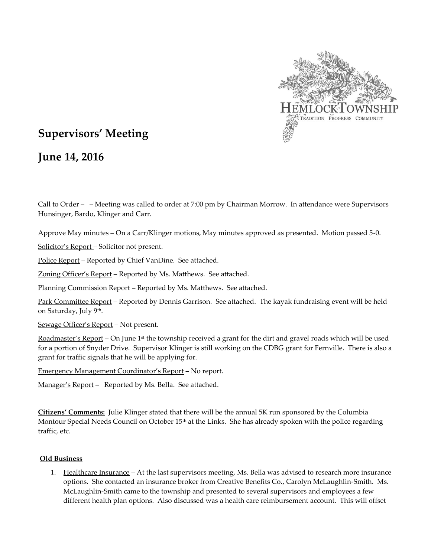

## **Supervisors' Meeting**

**June 14, 2016**

Call to Order – – Meeting was called to order at 7:00 pm by Chairman Morrow. In attendance were Supervisors Hunsinger, Bardo, Klinger and Carr.

Approve May minutes – On a Carr/Klinger motions, May minutes approved as presented. Motion passed 5-0.

Solicitor's Report – Solicitor not present.

Police Report – Reported by Chief VanDine. See attached.

Zoning Officer's Report - Reported by Ms. Matthews. See attached.

Planning Commission Report – Reported by Ms. Matthews. See attached.

Park Committee Report - Reported by Dennis Garrison. See attached. The kayak fundraising event will be held on Saturday, July 9<sup>th</sup>.

Sewage Officer's Report - Not present.

Roadmaster's Report – On June 1<sup>st</sup> the township received a grant for the dirt and gravel roads which will be used for a portion of Snyder Drive. Supervisor Klinger is still working on the CDBG grant for Fernville. There is also a grant for traffic signals that he will be applying for.

Emergency Management Coordinator's Report – No report.

Manager's Report - Reported by Ms. Bella. See attached.

**Citizens' Comments:** Julie Klinger stated that there will be the annual 5K run sponsored by the Columbia Montour Special Needs Council on October 15<sup>th</sup> at the Links. She has already spoken with the police regarding traffic, etc.

## **Old Business**

1. Healthcare Insurance *–* At the last supervisors meeting, Ms. Bella was advised to research more insurance options. She contacted an insurance broker from Creative Benefits Co., Carolyn McLaughlin-Smith. Ms. McLaughlin-Smith came to the township and presented to several supervisors and employees a few different health plan options. Also discussed was a health care reimbursement account. This will offset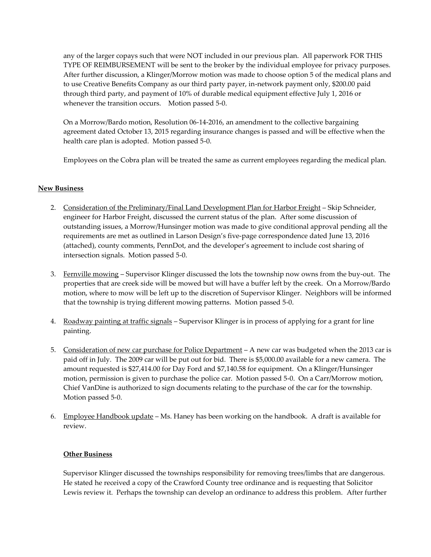any of the larger copays such that were NOT included in our previous plan. All paperwork FOR THIS TYPE OF REIMBURSEMENT will be sent to the broker by the individual employee for privacy purposes. After further discussion, a Klinger/Morrow motion was made to choose option 5 of the medical plans and to use Creative Benefits Company as our third party payer, in-network payment only, \$200.00 paid through third party, and payment of 10% of durable medical equipment effective July 1, 2016 or whenever the transition occurs. Motion passed 5-0.

On a Morrow/Bardo motion, Resolution 06-14-2016, an amendment to the collective bargaining agreement dated October 13, 2015 regarding insurance changes is passed and will be effective when the health care plan is adopted. Motion passed 5-0.

Employees on the Cobra plan will be treated the same as current employees regarding the medical plan.

## **New Business**

- 2. Consideration of the Preliminary/Final Land Development Plan for Harbor Freight Skip Schneider, engineer for Harbor Freight, discussed the current status of the plan. After some discussion of outstanding issues, a Morrow/Hunsinger motion was made to give conditional approval pending all the requirements are met as outlined in Larson Design's five-page correspondence dated June 13, 2016 (attached), county comments, PennDot, and the developer's agreement to include cost sharing of intersection signals. Motion passed 5-0.
- 3. Fernville mowing Supervisor Klinger discussed the lots the township now owns from the buy-out. The properties that are creek side will be mowed but will have a buffer left by the creek. On a Morrow/Bardo motion, where to mow will be left up to the discretion of Supervisor Klinger. Neighbors will be informed that the township is trying different mowing patterns. Motion passed 5-0.
- 4. Roadway painting at traffic signals Supervisor Klinger is in process of applying for a grant for line painting.
- 5. Consideration of new car purchase for Police Department A new car was budgeted when the 2013 car is paid off in July. The 2009 car will be put out for bid. There is \$5,000.00 available for a new camera. The amount requested is \$27,414.00 for Day Ford and \$7,140.58 for equipment. On a Klinger/Hunsinger motion, permission is given to purchase the police car. Motion passed 5-0. On a Carr/Morrow motion, Chief VanDine is authorized to sign documents relating to the purchase of the car for the township. Motion passed 5-0.
- 6. Employee Handbook update Ms. Haney has been working on the handbook. A draft is available for review.

## **Other Business**

Supervisor Klinger discussed the townships responsibility for removing trees/limbs that are dangerous. He stated he received a copy of the Crawford County tree ordinance and is requesting that Solicitor Lewis review it. Perhaps the township can develop an ordinance to address this problem. After further